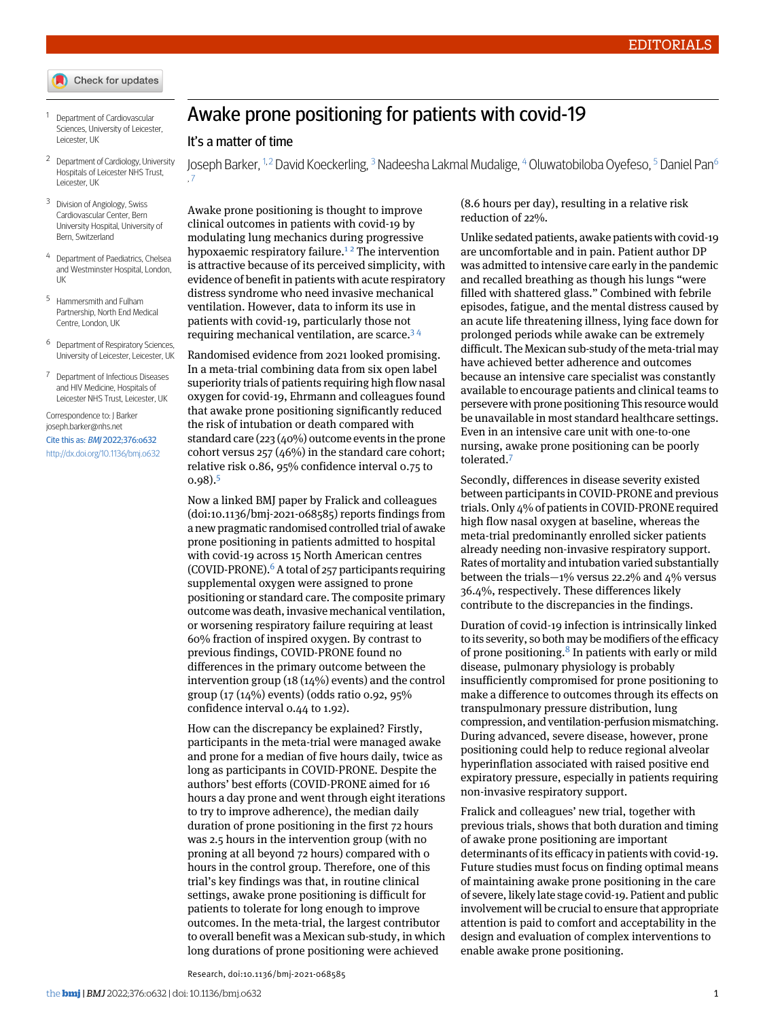- Check for updates
- <span id="page-0-1"></span><span id="page-0-0"></span><sup>1</sup> Department of Cardiovascular Sciences, University of Leicester, Leicester, UK
- <span id="page-0-2"></span><sup>2</sup> Department of Cardiology, University Hospitals of Leicester NHS Trust, Leicester, UK
- <span id="page-0-3"></span><sup>3</sup> Division of Angiology, Swiss Cardiovascular Center, Bern University Hospital, University of Bern, Switzerland
- <span id="page-0-4"></span>Department of Paediatrics, Chelsea and Westminster Hospital, London, UK
- <span id="page-0-5"></span><sup>5</sup> Hammersmith and Fulham Partnership, North End Medical Centre, London, UK
- <span id="page-0-6"></span><sup>6</sup> Department of Respiratory Sciences, University of Leicester, Leicester, UK
- <sup>7</sup> Department of Infectious Diseases and HIV Medicine, Hospitals of Leicester NHS Trust, Leicester, UK

Correspondence to: J Barker [joseph.barker@nhs.net](mailto:joseph.barker@nhs.net) Cite this as: BMJ 2022;376:o632 <http://dx.doi.org/10.1136/bmj.o632>

## Awake prone positioning for patients with covid-19

## It's a matter of time

Joseph Barker, <sup>[1](#page-0-0),[2](#page-0-1)</sup> David Koeckerling, <sup>[3](#page-0-2)</sup> Nadeesha Lakmal Mudalige, <sup>[4](#page-0-3)</sup> Oluwatobiloba Oyefeso, <sup>[5](#page-0-4)</sup> Daniel Pan<sup>[6](#page-0-5)</sup> , [7](#page-0-6)

Awake prone positioning is thought to improve clinical outcomes in patients with covid-19 by modulating lung mechanics during progressive hypoxaemic respiratory failure.<sup>[1](#page-1-0)[2](#page-1-1)</sup> The intervention is attractive because of its perceived simplicity, with evidence of benefit in patients with acute respiratory distress syndrome who need invasive mechanical ventilation. However, data to inform its use in patients with covid-19, particularly those not requiring mechanical ventilation, are scarce.[3](#page-1-2) [4](#page-1-3)

Randomised evidence from 2021 looked promising. In a meta-trial combining data from six open label superiority trials of patients requiring high flow nasal oxygen for covid-19, Ehrmann and colleagues found that awake prone positioning significantly reduced the risk of intubation or death compared with standard care (223 (40%) outcome events in the prone cohort versus 257 (46%) in the standard care cohort; relative risk 0.86, 95% confidence interval 0.75 to  $0.98$ ) $<sup>5</sup>$  $<sup>5</sup>$  $<sup>5</sup>$ </sup>

Now a linked BMJ paper by Fralick and colleagues (doi[:10.1136/bmj-2021-068585](http://dx.doi.org/10.1136/bmj-2021-068585)) reports findings from a newpragmatic randomised controlled trial of awake prone positioning in patients admitted to hospital with covid-19 across 15 North American centres (COVID-PRONE). $^6$  $^6$  A total of 257 participants requiring supplemental oxygen were assigned to prone positioning or standard care. The composite primary outcome was death, invasive mechanical ventilation, or worsening respiratory failure requiring at least 60% fraction of inspired oxygen. By contrast to previous findings, COVID-PRONE found no differences in the primary outcome between the intervention group (18 (14%) events) and the control group (17 (14%) events) (odds ratio 0.92, 95% confidence interval 0.44 to 1.92).

How can the discrepancy be explained? Firstly, participants in the meta-trial were managed awake and prone for a median of five hours daily, twice as long as participants in COVID-PRONE. Despite the authors' best efforts (COVID-PRONE aimed for 16 hours a day prone and went through eight iterations to try to improve adherence), the median daily duration of prone positioning in the first 72 hours was 2.5 hours in the intervention group (with no proning at all beyond 72 hours) compared with 0 hours in the control group. Therefore, one of this trial's key findings was that, in routine clinical settings, awake prone positioning is difficult for patients to tolerate for long enough to improve outcomes. In the meta-trial, the largest contributor to overall benefit was a Mexican sub-study, in which long durations of prone positioning were achieved

Research, doi[:10.1136/bmj-2021-068585](http://dx.doi.org/10.1136/bmj-2021-068585)

(8.6 hours per day), resulting in a relative risk reduction of 22%.

Unlike sedated patients, awake patients with covid-19 are uncomfortable and in pain. Patient author DP was admitted to intensive care early in the pandemic and recalled breathing as though his lungs "were filled with shattered glass." Combined with febrile episodes, fatigue, and the mental distress caused by an acute life threatening illness, lying face down for prolonged periods while awake can be extremely difficult. The Mexican sub-study of the meta-trial may have achieved better adherence and outcomes because an intensive care specialist was constantly available to encourage patients and clinical teams to persevere with prone positioning This resource would be unavailable in most standard healthcare settings. Even in an intensive care unit with one-to-one nursing, awake prone positioning can be poorly tolerated.[7](#page-1-6)

Secondly, differences in disease severity existed between participants in COVID-PRONE and previous trials.Only 4% of patients in COVID-PRONE required high flow nasal oxygen at baseline, whereas the meta-trial predominantly enrolled sicker patients already needing non-invasive respiratory support. Rates of mortality and intubation varied substantially between the trials— $1\%$  versus 22.2% and  $4\%$  versus 36.4%, respectively. These differences likely contribute to the discrepancies in the findings.

Duration of covid-19 infection is intrinsically linked to its severity, so both may be modifiers of the efficacy of prone positioning.<sup>[8](#page-1-7)</sup> In patients with early or mild disease, pulmonary physiology is probably insufficiently compromised for prone positioning to make a difference to outcomes through its effects on transpulmonary pressure distribution, lung compression, andventilation-perfusion mismatching. During advanced, severe disease, however, prone positioning could help to reduce regional alveolar hyperinflation associated with raised positive end expiratory pressure, especially in patients requiring non-invasive respiratory support.

Fralick and colleagues' new trial, together with previous trials, shows that both duration and timing of awake prone positioning are important determinants of its efficacy in patients with covid-19. Future studies must focus on finding optimal means of maintaining awake prone positioning in the care of severe, likely late stage covid-19. Patient and public involvement will be crucial to ensure that appropriate attention is paid to comfort and acceptability in the design and evaluation of complex interventions to enable awake prone positioning.